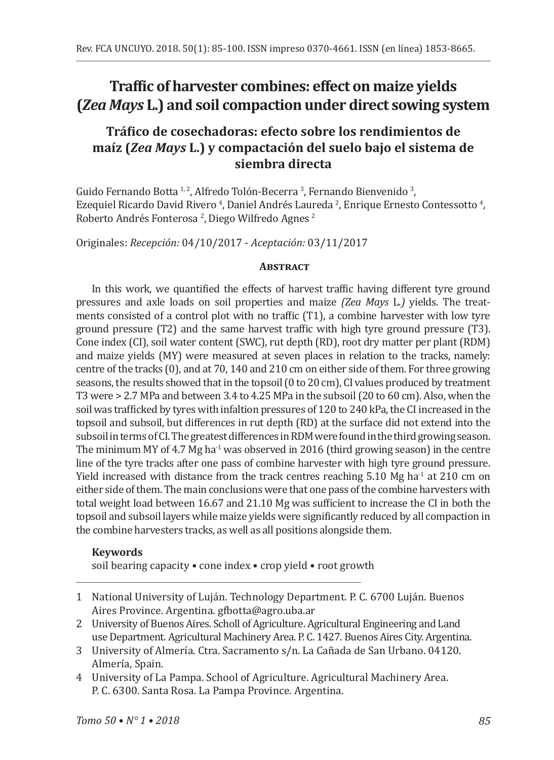# **Traffic of harvester combines: effect on maize yields (***Zea Mays* **L.) and soil compaction under direct sowing system**

## **Tráfico de cosechadoras: efecto sobre los rendimientos de maíz (***Zea Mays* **L.) y compactación del suelo bajo el sistema de siembra directa**

Guido Fernando Botta <sup>1, 2</sup>, Alfredo Tolón-Becerra <sup>3</sup>, Fernando Bienvenido <sup>3</sup>, Ezequiel Ricardo David Rivero <sup>4</sup>, Daniel Andrés Laureda <sup>2</sup>, Enrique Ernesto Contessotto <sup>4</sup>, Roberto Andrés Fonterosa <sup>2</sup>, Diego Wilfredo Agnes <sup>2</sup>

Originales: *Recepción:* 04/10/2017 - *Aceptación:* 03/11/2017

#### **Abstract**

In this work, we quantified the effects of harvest traffic having different tyre ground pressures and axle loads on soil properties and maize *(Zea Mays* L.*)* yields. The treatments consisted of a control plot with no traffic (T1), a combine harvester with low tyre ground pressure (T2) and the same harvest traffic with high tyre ground pressure (T3). Cone index (CI), soil water content (SWC), rut depth (RD), root dry matter per plant (RDM) and maize yields (MY) were measured at seven places in relation to the tracks, namely: centre of the tracks (0), and at 70, 140 and 210 cm on either side of them. For three growing seasons, the results showed that in the topsoil (0 to 20 cm), CI values produced by treatment T3 were > 2.7 MPa and between 3.4 to 4.25 MPa in the subsoil (20 to 60 cm). Also, when the soil was trafficked by tyres with infaltion pressures of 120 to 240 kPa, the CI increased in the topsoil and subsoil, but differences in rut depth (RD) at the surface did not extend into the subsoil in terms of CI. The greatest differences in RDM were found in the third growing season. The minimum MY of 4.7 Mg ha<sup>-1</sup> was observed in 2016 (third growing season) in the centre line of the tyre tracks after one pass of combine harvester with high tyre ground pressure. Yield increased with distance from the track centres reaching  $5.10 \text{ Mg}$  ha<sup>-1</sup> at 210 cm on either side of them. The main conclusions were that one pass of the combine harvesters with total weight load between 16.67 and 21.10 Mg was sufficient to increase the CI in both the topsoil and subsoil layers while maize yields were significantly reduced by all compaction in the combine harvesters tracks, as well as all positions alongside them.

### **Keywords**

soil bearing capacity • cone index • crop yield • root growth

- 1 National University of Luján. Technology Department. P. C. 6700 Luján. Buenos Aires Province. Argentina. gfbotta@agro.uba.ar
- 2 University of Buenos Aires. Scholl of Agriculture. Agricultural Engineering and Land use Department. Agricultural Machinery Area. P. C. 1427. Buenos Aires City. Argentina.
- 3 University of Almería. Ctra. Sacramento s/n. La Cañada de San Urbano. 04120. Almería, Spain.
- 4 University of La Pampa. School of Agriculture. Agricultural Machinery Area. P. C. 6300. Santa Rosa. La Pampa Province. Argentina.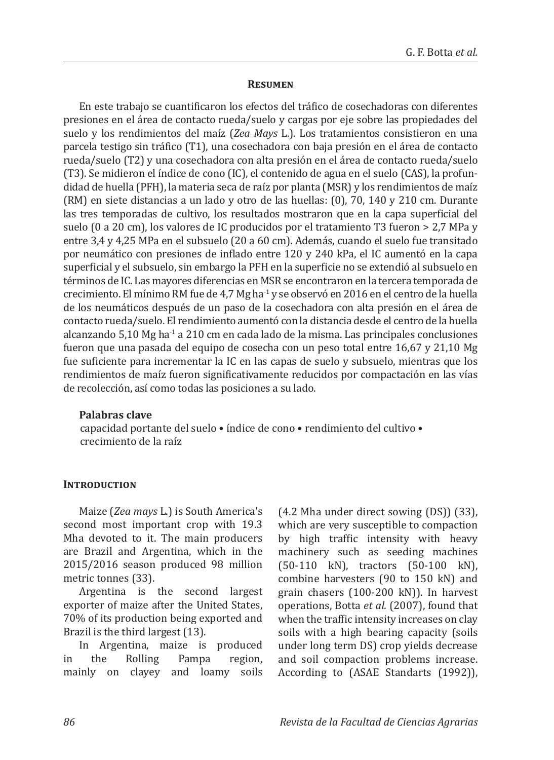#### **Resumen**

En este trabajo se cuantificaron los efectos del tráfico de cosechadoras con diferentes presiones en el área de contacto rueda/suelo y cargas por eje sobre las propiedades del suelo y los rendimientos del maíz (*Zea Mays* L.). Los tratamientos consistieron en una parcela testigo sin tráfico (T1), una cosechadora con baja presión en el área de contacto rueda/suelo (T2) y una cosechadora con alta presión en el área de contacto rueda/suelo (T3). Se midieron el índice de cono (IC), el contenido de agua en el suelo (CAS), la profundidad de huella (PFH), la materia seca de raíz por planta (MSR) y los rendimientos de maíz (RM) en siete distancias a un lado y otro de las huellas: (0), 70, 140 y 210 cm. Durante las tres temporadas de cultivo, los resultados mostraron que en la capa superficial del suelo (0 a 20 cm), los valores de IC producidos por el tratamiento T3 fueron > 2,7 MPa y entre 3,4 y 4,25 MPa en el subsuelo (20 a 60 cm). Además, cuando el suelo fue transitado por neumático con presiones de inflado entre 120 y 240 kPa, el IC aumentó en la capa superficial y el subsuelo, sin embargo la PFH en la superficie no se extendió al subsuelo en términos de IC. Las mayores diferencias en MSR se encontraron en la tercera temporada de crecimiento. El mínimo RM fue de 4,7 Mg ha-1 y se observó en 2016 en el centro de la huella de los neumáticos después de un paso de la cosechadora con alta presión en el área de contacto rueda/suelo. El rendimiento aumentó con la distancia desde el centro de la huella alcanzando  $5,10$  Mg ha<sup>-1</sup> a 210 cm en cada lado de la misma. Las principales conclusiones fueron que una pasada del equipo de cosecha con un peso total entre 16,67 y 21,10 Mg fue suficiente para incrementar la IC en las capas de suelo y subsuelo, mientras que los rendimientos de maíz fueron significativamente reducidos por compactación en las vías de recolección, así como todas las posiciones a su lado.

#### **Palabras clave**

capacidad portante del suelo • índice de cono • rendimiento del cultivo • crecimiento de la raíz

#### **INTRODUCTION**

Maize (*Zea mays* L.) is South America's second most important crop with 19.3 Mha devoted to it. The main producers are Brazil and Argentina, which in the 2015/2016 season produced 98 million metric tonnes (33).

Argentina is the second largest exporter of maize after the United States, 70% of its production being exported and Brazil is the third largest (13).

In Argentina, maize is produced in the Rolling mainly on clayey and loamy soils (4.2 Mha under direct sowing (DS)) (33), which are very susceptible to compaction by high traffic intensity with heavy machinery such as seeding machines (50-110 kN), tractors (50-100 kN), combine harvesters (90 to 150 kN) and grain chasers (100-200 kN)). In harvest operations, Botta *et al.* (2007), found that when the traffic intensity increases on clay soils with a high bearing capacity (soils under long term DS) crop yields decrease and soil compaction problems increase. According to (ASAE Standarts (1992)),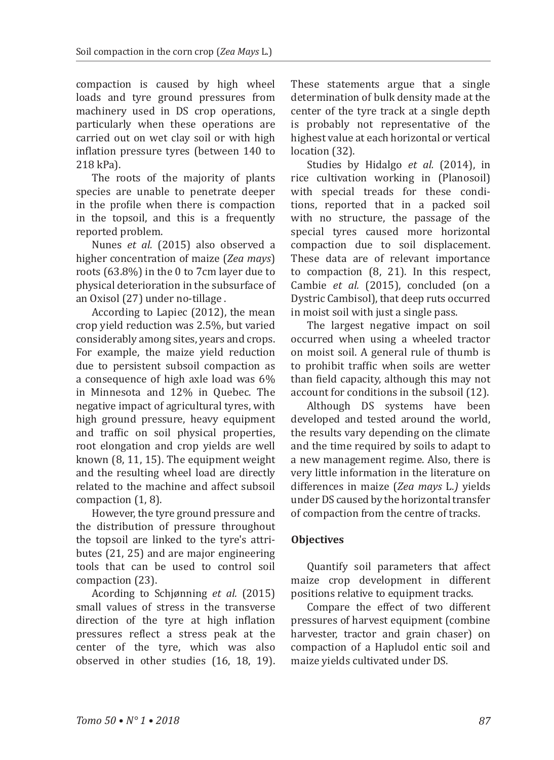compaction is caused by high wheel loads and tyre ground pressures from machinery used in DS crop operations, particularly when these operations are carried out on wet clay soil or with high inflation pressure tyres (between 140 to 218 kPa).

The roots of the majority of plants species are unable to penetrate deeper in the profile when there is compaction in the topsoil, and this is a frequently reported problem.

Nunes *et al.* (2015) also observed a higher concentration of maize (*Zea mays*) roots (63.8%) in the 0 to 7cm layer due to physical deterioration in the subsurface of an Oxisol (27) under no-tillage .

According to Lapiec (2012), the mean crop yield reduction was 2.5%, but varied considerably among sites, years and crops. For example, the maize yield reduction due to persistent subsoil compaction as a consequence of high axle load was 6% in Minnesota and 12% in Quebec. The negative impact of agricultural tyres, with high ground pressure, heavy equipment and traffic on soil physical properties, root elongation and crop yields are well known (8, 11, 15). The equipment weight and the resulting wheel load are directly related to the machine and affect subsoil compaction (1, 8).

However, the tyre ground pressure and the distribution of pressure throughout the topsoil are linked to the tyre's attributes (21, 25) and are major engineering tools that can be used to control soil compaction (23).

Acording to Schjønning *et al.* (2015) small values of stress in the transverse direction of the tyre at high inflation pressures reflect a stress peak at the center of the tyre, which was also observed in other studies (16, 18, 19). These statements argue that a single determination of bulk density made at the center of the tyre track at a single depth is probably not representative of the highest value at each horizontal or vertical location (32).

Studies by Hidalgo *et al.* (2014), in rice cultivation working in (Planosoil) with special treads for these conditions, reported that in a packed soil with no structure, the passage of the special tyres caused more horizontal compaction due to soil displacement. These data are of relevant importance to compaction (8, 21). In this respect, Cambie *et al.* (2015), concluded (on a Dystric Cambisol), that deep ruts occurred in moist soil with just a single pass.

The largest negative impact on soil occurred when using a wheeled tractor on moist soil. A general rule of thumb is to prohibit traffic when soils are wetter than field capacity, although this may not account for conditions in the subsoil (12).

Although DS systems have been developed and tested around the world, the results vary depending on the climate and the time required by soils to adapt to a new management regime. Also, there is very little information in the literature on differences in maize (*Zea mays* L.*)* yields under DS caused by the horizontal transfer of compaction from the centre of tracks.

### **Objectives**

Quantify soil parameters that affect maize crop development in different positions relative to equipment tracks.

Compare the effect of two different pressures of harvest equipment (combine harvester, tractor and grain chaser) on compaction of a Hapludol entic soil and maize yields cultivated under DS.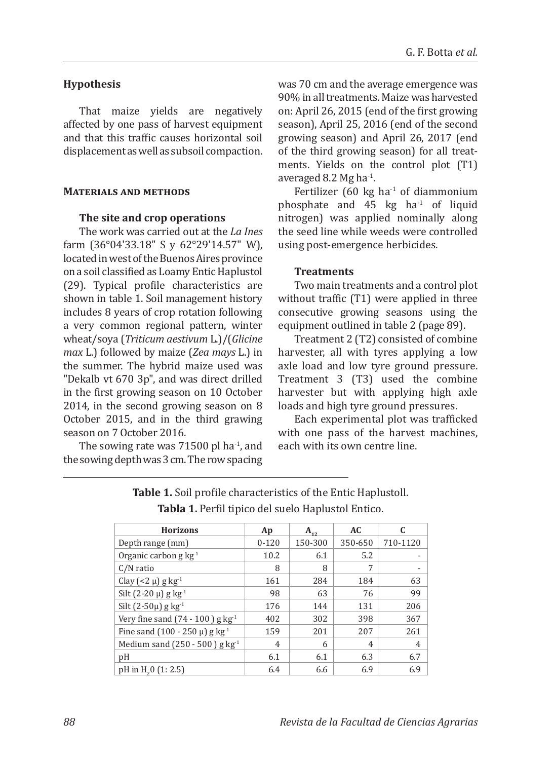### **Hypothesis**

That maize yields are negatively affected by one pass of harvest equipment and that this traffic causes horizontal soil displacement as well as subsoil compaction.

#### **Materials and methods**

#### **The site and crop operations**

The work was carried out at the *La Ines*  farm (36°04'33.18" S y 62°29'14.57" W), located in west of the Buenos Aires province on a soil classified as Loamy Entic Haplustol (29). Typical profile characteristics are shown in table 1. Soil management history includes 8 years of crop rotation following a very common regional pattern, winter wheat/soya (*Triticum aestivum* L.)/(*Glicine max* L.) followed by maize (*Zea mays* L.) in the summer. The hybrid maize used was "Dekalb vt 670 3p", and was direct drilled in the first growing season on 10 October 2014, in the second growing season on 8 October 2015, and in the third grawing season on 7 October 2016.

The sowing rate was  $71500$  pl ha $^{-1}$ , and the sowing depth was 3 cm. The row spacing was 70 cm and the average emergence was 90% in all treatments. Maize was harvested on: April 26, 2015 (end of the first growing season), April 25, 2016 (end of the second growing season) and April 26, 2017 (end of the third growing season) for all treatments. Yields on the control plot (T1) averaged 8.2 Mg ha-1.

Fertilizer (60 kg ha $^{-1}$  of diammonium phosphate and  $45 \text{ kg}$  ha<sup>-1</sup> of liquid nitrogen) was applied nominally along the seed line while weeds were controlled using post-emergence herbicides.

### **Treatments**

Two main treatments and a control plot without traffic (T1) were applied in three consecutive growing seasons using the equipment outlined in table 2 (page 89).

Treatment 2 (T2) consisted of combine harvester, all with tyres applying a low axle load and low tyre ground pressure. Treatment 3 (T3) used the combine harvester but with applying high axle loads and high tyre ground pressures.

Each experimental plot was trafficked with one pass of the harvest machines, each with its own centre line.

| <b>Horizons</b>                                | Ap             | $A_{1}$ | AC.     |                |
|------------------------------------------------|----------------|---------|---------|----------------|
| Depth range (mm)                               | $0 - 120$      | 150-300 | 350-650 | 710-1120       |
| Organic carbon g $kg^{-1}$                     | 10.2           | 6.1     | 5.2     |                |
| $C/N$ ratio                                    | 8              | 8       | 7       |                |
| Clay $(< 2 \mu)$ g kg <sup>-1</sup>            | 161            | 284     | 184     | 63             |
| Silt $(2-20 \mu)$ g kg <sup>-1</sup>           | 98             | 63      | 76      | 99             |
| Silt $(2-50\mu)$ g kg <sup>-1</sup>            | 176            | 144     | 131     | 206            |
| Very fine sand $(74 - 100)$ g kg <sup>-1</sup> | 402            | 302     | 398     | 367            |
| Fine sand $(100 - 250 \mu)$ g kg <sup>-1</sup> | 159            | 201     | 207     | 261            |
| Medium sand $(250 - 500)$ g kg <sup>-1</sup>   | $\overline{4}$ | 6       | 4       | $\overline{4}$ |
| pH                                             | 6.1            | 6.1     | 6.3     | 6.7            |
| pH in H <sub>2</sub> 0 (1:2.5)                 | 6.4            | 6.6     | 6.9     | 6.9            |

**Table 1.** Soil profile characteristics of the Entic Haplustoll. **Tabla 1.** Perfil tipico del suelo Haplustol Entico.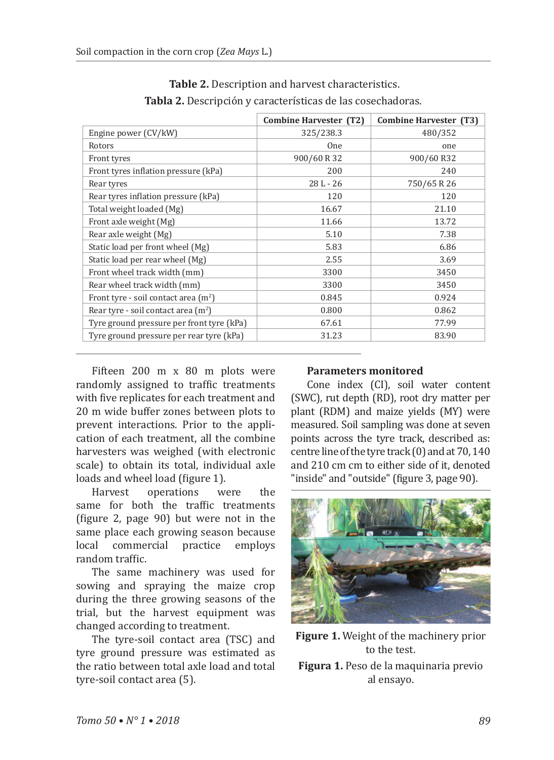|                                           | Combine Harvester (T2) | Combine Harvester (T3) |
|-------------------------------------------|------------------------|------------------------|
| Engine power (CV/kW)                      | 325/238.3              | 480/352                |
| Rotors                                    | <b>One</b>             | one                    |
| Front tyres                               | 900/60 R 32            | 900/60 R32             |
| Front tyres inflation pressure (kPa)      | 200                    | 240                    |
| Rear tyres                                | $28L - 26$             | 750/65 R 26            |
| Rear tyres inflation pressure (kPa)       | 120                    | 120                    |
| Total weight loaded (Mg)                  | 16.67                  | 21.10                  |
| Front axle weight (Mg)                    | 11.66                  | 13.72                  |
| Rear axle weight (Mg)                     | 5.10                   | 7.38                   |
| Static load per front wheel (Mg)          | 5.83                   | 6.86                   |
| Static load per rear wheel (Mg)           | 2.55                   | 3.69                   |
| Front wheel track width (mm)              | 3300                   | 3450                   |
| Rear wheel track width (mm)               | 3300                   | 3450                   |
| Front tyre - soil contact area $(m2)$     | 0.845                  | 0.924                  |
| Rear tyre - soil contact area $(m2)$      | 0.800                  | 0.862                  |
| Tyre ground pressure per front tyre (kPa) | 67.61                  | 77.99                  |
| Tyre ground pressure per rear tyre (kPa)  | 31.23                  | 83.90                  |

 **Table 2.** Description and harvest characteristics. **Tabla 2.** Descripción y características de las cosechadoras.

Fifteen 200 m x 80 m plots were randomly assigned to traffic treatments with five replicates for each treatment and 20 m wide buffer zones between plots to prevent interactions. Prior to the application of each treatment, all the combine harvesters was weighed (with electronic scale) to obtain its total, individual axle loads and wheel load (figure 1).

Harvest operations were the same for both the traffic treatments (figure 2, page 90) but were not in the same place each growing season because<br>local commercial practice employs local commercial random traffic.

The same machinery was used for sowing and spraying the maize crop during the three growing seasons of the trial, but the harvest equipment was changed according to treatment.

The tyre-soil contact area (TSC) and tyre ground pressure was estimated as the ratio between total axle load and total tyre-soil contact area (5).

### **Parameters monitored**

Cone index (CI), soil water content (SWC), rut depth (RD), root dry matter per plant (RDM) and maize yields (MY) were measured. Soil sampling was done at seven points across the tyre track, described as: centre line of the tyre track (0) and at 70, 140 and 210 cm cm to either side of it, denoted "inside" and "outside" (figure 3, page 90).



**Figure 1.** Weight of the machinery prior to the test.

**Figura 1.** Peso de la maquinaria previo al ensayo.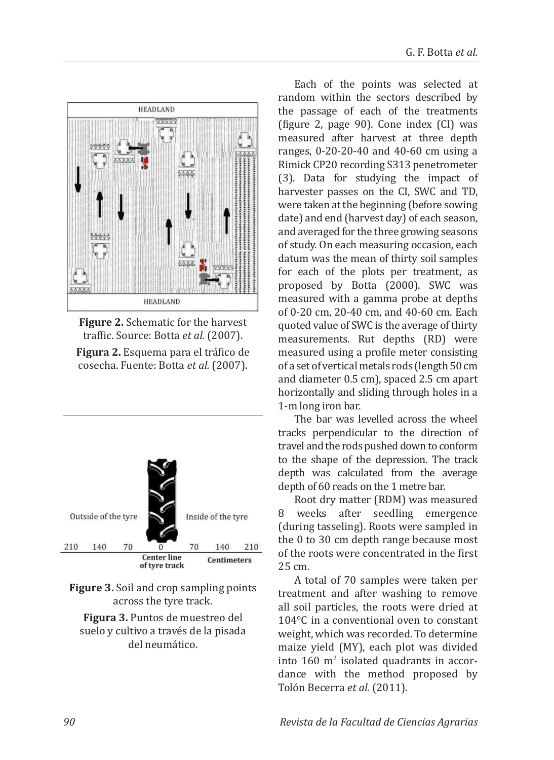

**Figure 2.** Schematic for the harvest traffic. Source: Botta *et al.* (2007). **Figura 2.** Esquema para el tráfico de cosecha. Fuente: Botta *et al.* (2007).



**Figure 3.** Soil and crop sampling points across the tyre track.

**Figura 3.** Puntos de muestreo del suelo y cultivo a través de la pisada del neumático.

Each of the points was selected at random within the sectors described by the passage of each of the treatments (figure 2, page 90). Cone index (CI) was measured after harvest at three depth ranges, 0-20-20-40 and 40-60 cm using a Rimick CP20 recording S313 penetrometer (3). Data for studying the impact of harvester passes on the CI, SWC and TD, were taken at the beginning (before sowing date) and end (harvest day) of each season, and averaged for the three growing seasons of study. On each measuring occasion, each datum was the mean of thirty soil samples for each of the plots per treatment, as proposed by Botta (2000). SWC was measured with a gamma probe at depths of 0-20 cm, 20-40 cm, and 40-60 cm. Each quoted value of SWC is the average of thirty measurements. Rut depths (RD) were measured using a profile meter consisting of a set of vertical metals rods (length 50 cm and diameter 0.5 cm), spaced 2.5 cm apart horizontally and sliding through holes in a 1-m long iron bar.

The bar was levelled across the wheel tracks perpendicular to the direction of travel and the rods pushed down to conform to the shape of the depression. The track depth was calculated from the average depth of 60 reads on the 1 metre bar.

Root dry matter (RDM) was measured 8 weeks after seedling emergence (during tasseling). Roots were sampled in the 0 to 30 cm depth range because most of the roots were concentrated in the first 25 cm.

A total of 70 samples were taken per treatment and after washing to remove all soil particles, the roots were dried at 104°C in a conventional oven to constant weight, which was recorded. To determine maize yield (MY), each plot was divided into 160 m<sup>2</sup> isolated quadrants in accordance with the method proposed by Tolón Becerra *et al.* (2011).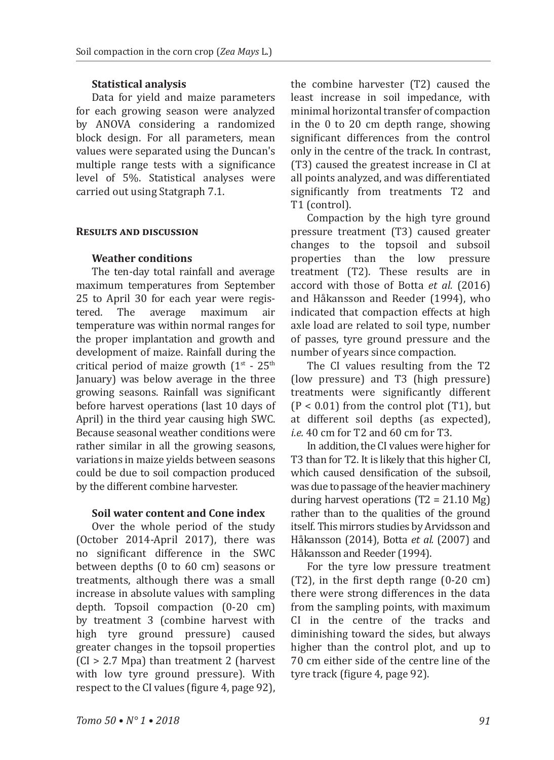### **Statistical analysis**

Data for yield and maize parameters for each growing season were analyzed by ANOVA considering a randomized block design. For all parameters, mean values were separated using the Duncan's multiple range tests with a significance level of 5%. Statistical analyses were carried out using Statgraph 7.1.

### **Results and discussion**

### **Weather conditions**

The ten-day total rainfall and average maximum temperatures from September 25 to April 30 for each year were regis-<br>tered. The average maximum air The average maximum temperature was within normal ranges for the proper implantation and growth and development of maize. Rainfall during the critical period of maize growth  $(1^{st} - 25^{th})$ January) was below average in the three growing seasons. Rainfall was significant before harvest operations (last 10 days of April) in the third year causing high SWC. Because seasonal weather conditions were rather similar in all the growing seasons, variations in maize yields between seasons could be due to soil compaction produced by the different combine harvester.

### **Soil water content and Cone index**

Over the whole period of the study (October 2014-April 2017), there was no significant difference in the SWC between depths (0 to 60 cm) seasons or treatments, although there was a small increase in absolute values with sampling depth. Topsoil compaction (0-20 cm) by treatment 3 (combine harvest with high tyre ground pressure) caused greater changes in the topsoil properties (CI > 2.7 Mpa) than treatment 2 (harvest with low tyre ground pressure). With respect to the CI values (figure 4, page 92), the combine harvester (T2) caused the least increase in soil impedance, with minimal horizontal transfer of compaction in the 0 to 20 cm depth range, showing significant differences from the control only in the centre of the track. In contrast, (T3) caused the greatest increase in CI at all points analyzed, and was differentiated significantly from treatments T2 and T1 (control).

Compaction by the high tyre ground pressure treatment (T3) caused greater changes to the topsoil and subsoil properties than the low pressure treatment (T2). These results are in accord with those of Botta *et al.* (2016) and Håkansson and Reeder (1994), who indicated that compaction effects at high axle load are related to soil type, number of passes, tyre ground pressure and the number of years since compaction.

The CI values resulting from the T2 (low pressure) and T3 (high pressure) treatments were significantly different  $(P < 0.01)$  from the control plot  $(T1)$ , but at different soil depths (as expected), *i.e.* 40 cm for T2 and 60 cm for T3.

In addition, the CI values were higher for T3 than for T2. It is likely that this higher CI, which caused densification of the subsoil, was due to passage of the heavier machinery during harvest operations  $(T2 = 21.10 \text{ Mg})$ rather than to the qualities of the ground itself. This mirrors studies by Arvidsson and Håkansson (2014), Botta *et al.* (2007) and Håkansson and Reeder (1994).

For the tyre low pressure treatment (T2), in the first depth range (0-20 cm) there were strong differences in the data from the sampling points, with maximum CI in the centre of the tracks and diminishing toward the sides, but always higher than the control plot, and up to 70 cm either side of the centre line of the tyre track (figure 4, page 92).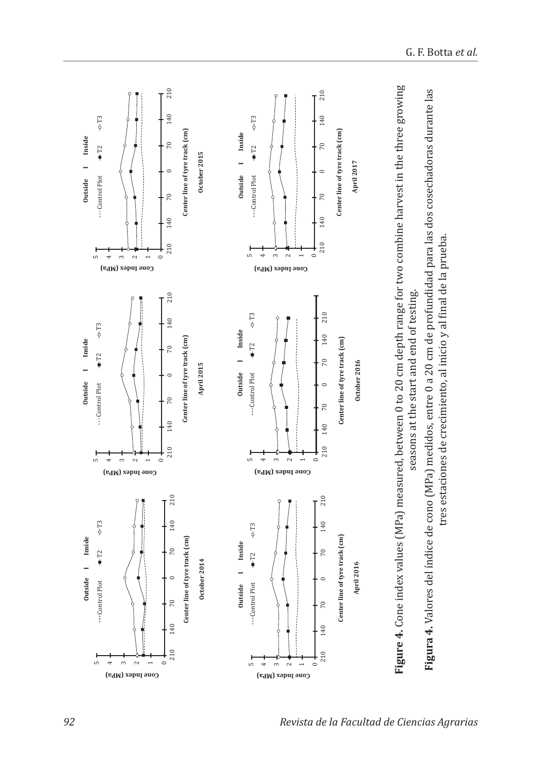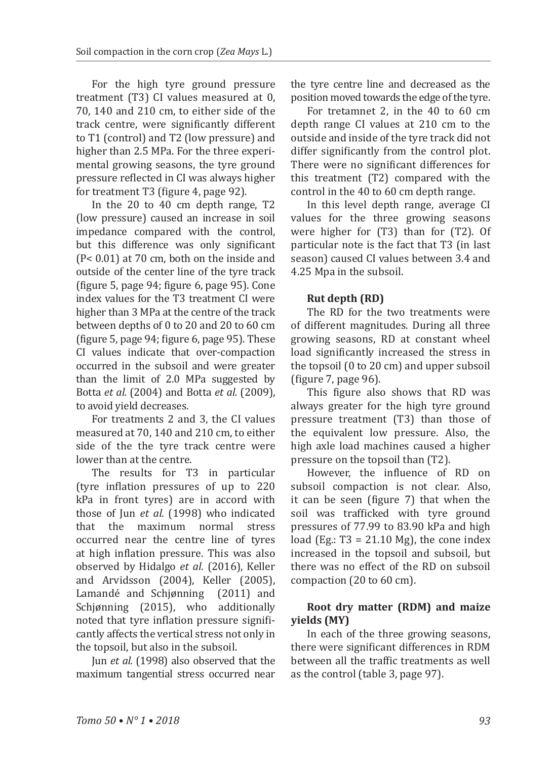For the high tyre ground pressure treatment (T3) CI values measured at 0, 70, 140 and 210 cm, to either side of the track centre, were significantly different to T1 (control) and T2 (low pressure) and higher than 2.5 MPa. For the three experimental growing seasons, the tyre ground pressure reflected in CI was always higher for treatment T3 (figure 4, page 92).

In the 20 to 40 cm depth range, T2 (low pressure) caused an increase in soil impedance compared with the control, but this difference was only significant (P< 0.01) at 70 cm, both on the inside and outside of the center line of the tyre track (figure 5, page 94; figure 6, page 95). Cone index values for the T3 treatment CI were higher than 3 MPa at the centre of the track between depths of 0 to 20 and 20 to 60 cm (figure 5, page 94; figure 6, page 95). These CI values indicate that over-compaction occurred in the subsoil and were greater than the limit of 2.0 MPa suggested by Botta *et al.* (2004) and Botta *et al.* (2009), to avoid yield decreases.

For treatments 2 and 3, the CI values measured at 70, 140 and 210 cm, to either side of the the tyre track centre were lower than at the centre.

The results for T3 in particular (tyre inflation pressures of up to 220 kPa in front tyres) are in accord with those of Jun *et al.* (1998) who indicated<br>that the maximum normal stress that the maximum normal occurred near the centre line of tyres at high inflation pressure. This was also observed by Hidalgo *et al.* (2016), Keller and Arvidsson (2004), Keller (2005), Lamandé and Schjønning (2011) and Schjønning (2015), who additionally noted that tyre inflation pressure significantly affects the vertical stress not only in the topsoil, but also in the subsoil.

Jun *et al.* (1998) also observed that the maximum tangential stress occurred near the tyre centre line and decreased as the position moved towards the edge of the tyre.

For tretamnet 2, in the 40 to 60 cm depth range CI values at 210 cm to the outside and inside of the tyre track did not differ significantly from the control plot. There were no significant differences for this treatment (T2) compared with the control in the 40 to 60 cm depth range.

In this level depth range, average CI values for the three growing seasons were higher for (T3) than for (T2). Of particular note is the fact that T3 (in last season) caused CI values between 3.4 and 4.25 Mpa in the subsoil.

### **Rut depth (RD)**

The RD for the two treatments were of different magnitudes. During all three growing seasons, RD at constant wheel load significantly increased the stress in the topsoil (0 to 20 cm) and upper subsoil (figure 7, page 96).

This figure also shows that RD was always greater for the high tyre ground pressure treatment (T3) than those of the equivalent low pressure. Also, the high axle load machines caused a higher pressure on the topsoil than (T2).

However, the influence of RD on subsoil compaction is not clear. Also, it can be seen (figure 7) that when the soil was trafficked with tyre ground pressures of 77.99 to 83.90 kPa and high load (Eg.:  $T3 = 21.10$  Mg), the cone index increased in the topsoil and subsoil, but there was no effect of the RD on subsoil compaction (20 to 60 cm).

### **Root dry matter (RDM) and maize yields (MY)**

In each of the three growing seasons, there were significant differences in RDM between all the traffic treatments as well as the control (table 3, page 97).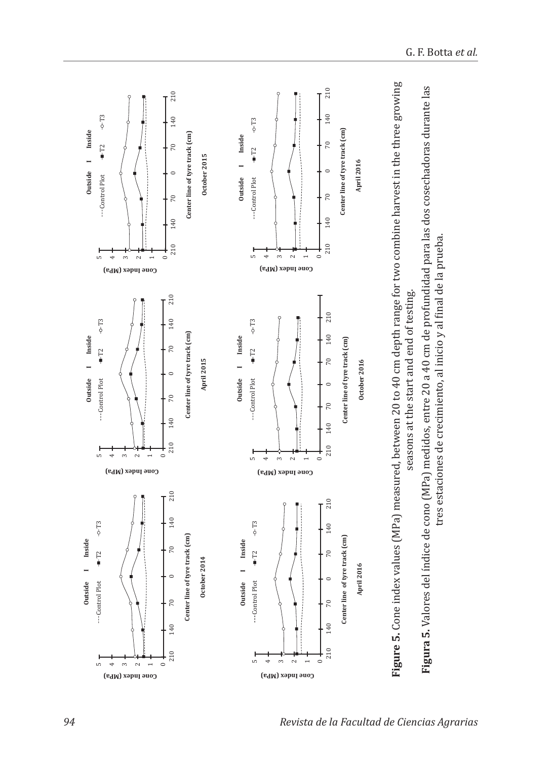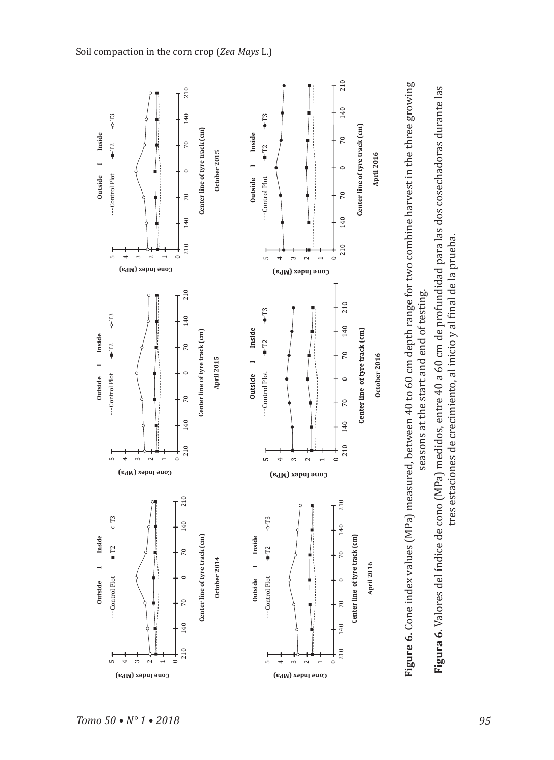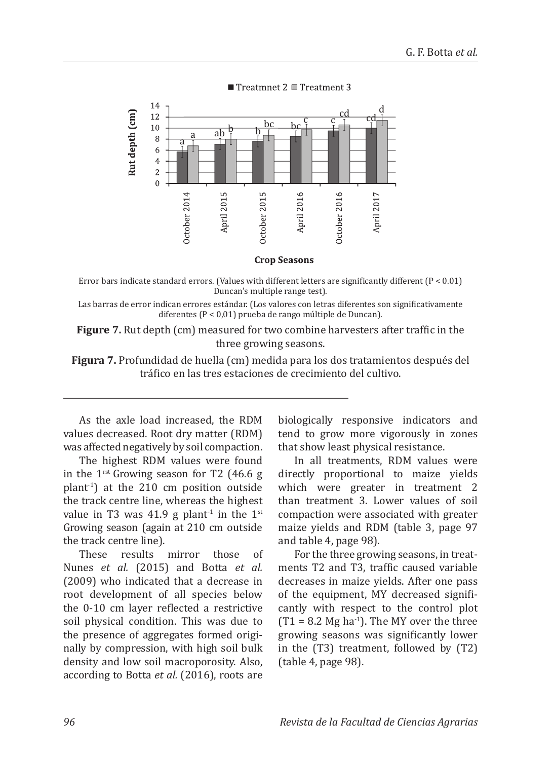

Treatmnet 2 Treatment 3

**Crop Seasons** 

Error bars indicate standard errors. (Values with different letters are significantly different (P < 0.01) Duncan's multiple range test).

Las barras de error indican errores estándar. (Los valores con letras diferentes son significativamente diferentes (P < 0,01) prueba de rango múltiple de Duncan).

**Figure 7.** Rut depth (cm) measured for two combine harvesters after traffic in the three growing seasons.

**Figura 7.** Profundidad de huella (cm) medida para los dos tratamientos después del tráfico en las tres estaciones de crecimiento del cultivo.

As the axle load increased, the RDM values decreased. Root dry matter (RDM) was affected negatively by soil compaction.

The highest RDM values were found in the  $1^{\text{rst}}$  Growing season for T2 (46.6 g plant-1) at the 210 cm position outside the track centre line, whereas the highest value in T3 was 41.9 g plant<sup>-1</sup> in the  $1<sup>st</sup>$ Growing season (again at 210 cm outside the track centre line).<br>These results

mirror those of Nunes *et al.* (2015) and Botta *et al.* (2009) who indicated that a decrease in root development of all species below the 0-10 cm layer reflected a restrictive soil physical condition. This was due to the presence of aggregates formed originally by compression, with high soil bulk density and low soil macroporosity. Also, according to Botta *et al.* (2016), roots are biologically responsive indicators and tend to grow more vigorously in zones that show least physical resistance.

In all treatments, RDM values were directly proportional to maize yields which were greater in treatment 2 than treatment 3. Lower values of soil compaction were associated with greater maize yields and RDM (table 3, page 97 and table 4, page 98).

For the three growing seasons, in treatments T2 and T3, traffic caused variable decreases in maize yields. After one pass of the equipment, MY decreased significantly with respect to the control plot  $(T1 = 8.2$  Mg ha<sup>-1</sup>). The MY over the three growing seasons was significantly lower in the (T3) treatment, followed by (T2) (table 4, page 98).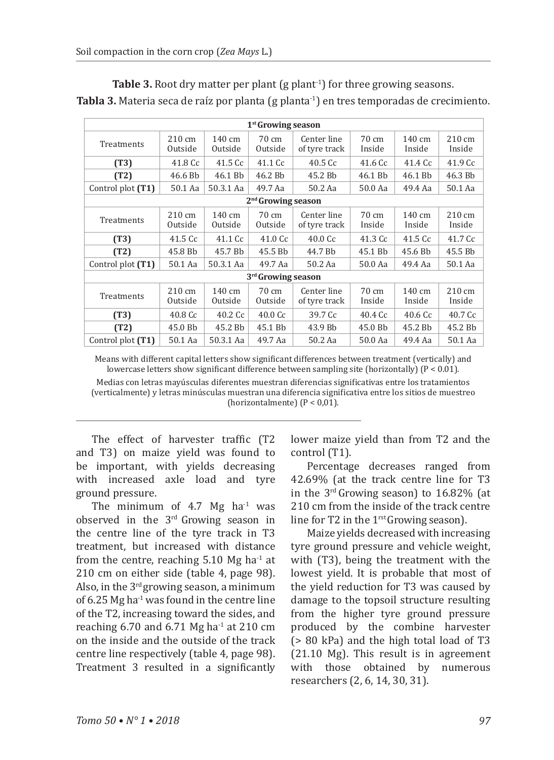|                                |                             |                             | $1st$ Growing season       |                              |                           |                            |                            |
|--------------------------------|-----------------------------|-----------------------------|----------------------------|------------------------------|---------------------------|----------------------------|----------------------------|
| Treatments                     | $210 \text{ cm}$<br>Outside | $140 \text{ cm}$<br>Outside | 70 cm<br>Outside           | Center line<br>of tyre track | 70 cm<br>Inside           | $140 \text{ cm}$<br>Inside | $210 \text{ cm}$<br>Inside |
| (T3)                           | 41.8 Cc                     | 41.5 Cc                     | 41.1 Cc                    | 40.5 Cc                      | 41.6 Cc                   | 41.4 Cc                    | 41.9 Cc                    |
| (T2)                           | 46.6 Bb                     | 46.1 Bb                     | 46.2 Bb                    | 45.2 Bb                      | 46.1 Bb                   | 46.1 Bb                    | 46.3 Bb                    |
| Control plot (T1)              | 50.1 Aa                     | 50.3.1 Aa                   | 49.7 Aa                    | 50.2 Aa                      | 50.0 Aa                   | 49.4 Aa                    | 50.1 Aa                    |
|                                |                             |                             | $2nd$ Growing season       |                              |                           |                            |                            |
| Treatments                     | $210 \text{ cm}$<br>Outside | 140 cm<br>Outside           | 70 cm<br>Outside           | Center line<br>of tyre track | 70 cm<br>Inside           | 140 cm<br>Inside           | $210 \text{ cm}$<br>Inside |
| (T3)                           | 41.5 Cc                     | 41.1 Cc                     | 41.0 Cc                    | 40.0 <sub>C</sub>            | 41.3 Cc                   | 41.5 Cc                    | 41.7 Cc                    |
| (T2)                           | 45.8 Bb                     | 45.7 Bb                     | 45.5 Bb                    | 44.7 Bb                      | 45.1 Bb                   | 45.6 Bb                    | 45.5 Bb                    |
| Control plot (T1)              | 50.1 Aa                     | 50.3.1 Aa                   | 49.7 Aa                    | 50.2 Aa                      | 50.0 Aa                   | 49.4 Aa                    | 50.1 Aa                    |
| 3 <sup>rd</sup> Growing season |                             |                             |                            |                              |                           |                            |                            |
| Treatments                     | 210 cm<br>Outside           | 140 cm<br>Outside           | $70 \text{ cm}$<br>Outside | Center line<br>of tyre track | $70 \text{ cm}$<br>Inside | 140 cm<br>Inside           | $210 \text{ cm}$<br>Inside |
| (T3)                           | $40.8\,\mathrm{Cc}$         | $40.2\text{ C}c$            | 40.0 <sub>C</sub>          | 39.7 Cc                      | 40.4 Cc                   | 40.6 <sub>C</sub>          | 40.7 Cc                    |
| (T2)                           | 45.0 Bb                     | 45.2 Bb                     | 45.1 Bb                    | 43.9 Bb                      | 45.0 Bb                   | 45.2 Bb                    | 45.2 Bb                    |
| Control plot (T1)              | 50.1 Aa                     | 50.3.1 Aa                   | 49.7 Aa                    | 50.2 Aa                      | 50.0 Aa                   | 49.4 Aa                    | 50.1 Aa                    |

**Table 3.** Root dry matter per plant (g plant<sup>-1</sup>) for three growing seasons. Tabla 3. Materia seca de raíz por planta (g planta<sup>-1</sup>) en tres temporadas de crecimiento.

Means with different capital letters show significant differences between treatment (vertically) and lowercase letters show significant difference between sampling site (horizontally) ( $P < 0.01$ ).

Medias con letras mayúsculas diferentes muestran diferencias significativas entre los tratamientos (verticalmente) y letras minúsculas muestran una diferencia significativa entre los sitios de muestreo (horizontalmente)  $(P < 0.01)$ .

The effect of harvester traffic (T2 and T3) on maize yield was found to be important, with yields decreasing with increased axle load and tyre ground pressure.

The minimum of  $4.7$  Mg ha<sup>-1</sup> was observed in the 3rd Growing season in the centre line of the tyre track in T3 treatment, but increased with distance from the centre, reaching  $5.10$  Mg ha<sup>-1</sup> at 210 cm on either side (table 4, page 98). Also, in the  $3<sup>rd</sup>$  growing season, a minimum of  $6.25$  Mg ha<sup>-1</sup> was found in the centre line of the T2, increasing toward the sides, and reaching 6.70 and 6.71 Mg ha<sup>-1</sup> at 210 cm on the inside and the outside of the track centre line respectively (table 4, page 98). Treatment 3 resulted in a significantly lower maize yield than from T2 and the control (T1).

Percentage decreases ranged from 42.69% (at the track centre line for T3 in the 3rd Growing season) to 16.82% (at 210 cm from the inside of the track centre line for T2 in the  $1<sup>rst</sup>$  Growing season).

Maize yields decreased with increasing tyre ground pressure and vehicle weight, with (T3), being the treatment with the lowest yield. It is probable that most of the yield reduction for T3 was caused by damage to the topsoil structure resulting from the higher tyre ground pressure produced by the combine harvester (> 80 kPa) and the high total load of T3 (21.10 Mg). This result is in agreement<br>with those obtained by numerous with those obtained by researchers (2, 6, 14, 30, 31).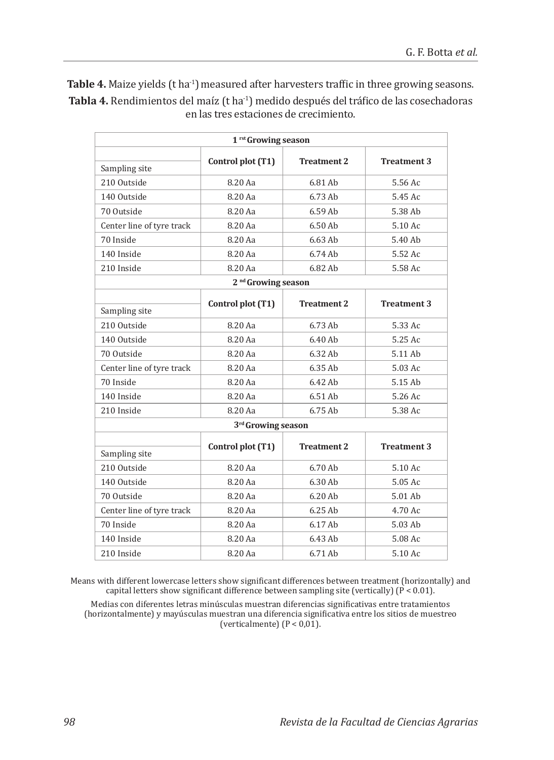|                           | 1 <sup>rst</sup> Growing season |                    |                    |
|---------------------------|---------------------------------|--------------------|--------------------|
|                           | Control plot (T1)               | <b>Treatment 2</b> | <b>Treatment 3</b> |
| Sampling site             |                                 |                    |                    |
| 210 Outside               | 8.20 Aa                         | 6.81 Ab            | 5.56 Ac            |
| 140 Outside               | 8.20 Aa                         | 6.73 Ab            | 5.45 Ac            |
| 70 Outside                | 8.20 Aa                         | 6.59 Ab            | 5.38 Ab            |
| Center line of tyre track | 8.20 Aa                         | 6.50 Ab            | 5.10 Ac            |
| 70 Inside                 | 8.20 Aa                         | $6.63$ Ab          | 5.40 Ab            |
| 140 Inside                | 8.20 Aa                         | 6.74 Ab            | 5.52 Ac            |
| 210 Inside                | 8.20 Aa                         | 6.82 Ab            | 5.58 Ac            |
|                           | 2 <sup>nd</sup> Growing season  |                    |                    |
|                           | Control plot (T1)               | <b>Treatment 2</b> | <b>Treatment 3</b> |
| Sampling site             |                                 |                    |                    |
| 210 Outside               | 8.20 Aa                         | $6.73$ Ab          | 5.33 Ac            |
| 140 Outside               | 8.20 Aa                         | 6.40 Ab            | 5.25 Ac            |
| 70 Outside                | 8.20 Aa                         | 6.32 Ab            | 5.11 Ab            |
| Center line of tyre track | 8.20 Aa                         | 6.35 Ab            | 5.03 Ac            |
| 70 Inside                 | 8.20 Aa                         | 6.42 Ab            | 5.15 Ab            |
| 140 Inside                | 8.20 Aa                         | 6.51 Ab            | 5.26 Ac            |
| 210 Inside                | 8.20 Aa                         | 6.75 Ab            | 5.38 Ac            |
|                           | 3 <sup>rd</sup> Growing season  |                    |                    |
| Sampling site             | Control plot (T1)               | <b>Treatment 2</b> | <b>Treatment 3</b> |
| 210 Outside               | 8.20 Aa                         | 6.70 Ab            | 5.10 Ac            |
| 140 Outside               | 8.20 Aa                         | 6.30 Ab            | 5.05 Ac            |
| 70 Outside                | 8.20 Aa                         | 6.20 Ab            | 5.01 Ab            |
| Center line of tyre track | 8.20 Aa                         | 6.25 Ab            | 4.70 Ac            |
| 70 Inside                 | 8.20 Aa                         | 6.17 Ab            | 5.03 Ab            |
| 140 Inside                | 8.20 Aa                         | 6.43 Ab            | 5.08 Ac            |
|                           |                                 |                    |                    |

Table 4. Maize yields (t ha<sup>-1</sup>) measured after harvesters traffic in three growing seasons. Tabla 4. Rendimientos del maíz (t ha<sup>-1</sup>) medido después del tráfico de las cosechadoras en las tres estaciones de crecimiento.

Means with different lowercase letters show significant differences between treatment (horizontally) and capital letters show significant difference between sampling site (vertically) ( $\tilde{P}$  < 0.01).

Medias con diferentes letras minúsculas muestran diferencias significativas entre tratamientos (horizontalmente) y mayúsculas muestran una diferencia significativa entre los sitios de muestreo (verticalmente)  $(P < 0.01)$ .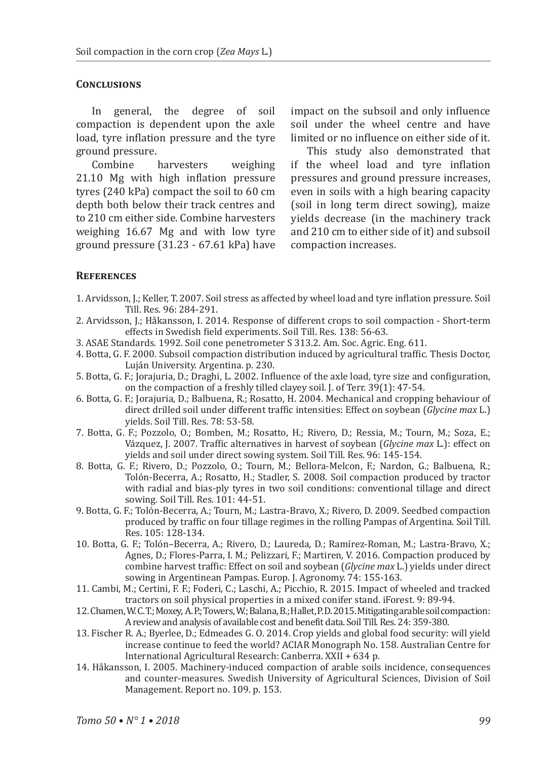#### **Conclusions**

In general, the degree of soil compaction is dependent upon the axle load, tyre inflation pressure and the tyre ground pressure.

Combine harvesters weighing 21.10 Mg with high inflation pressure tyres (240 kPa) compact the soil to 60 cm depth both below their track centres and to 210 cm either side. Combine harvesters weighing 16.67 Mg and with low tyre ground pressure (31.23 - 67.61 kPa) have

impact on the subsoil and only influence soil under the wheel centre and have limited or no influence on either side of it.

This study also demonstrated that if the wheel load and tyre inflation pressures and ground pressure increases, even in soils with a high bearing capacity (soil in long term direct sowing), maize yields decrease (in the machinery track and 210 cm to either side of it) and subsoil compaction increases.

#### **References**

- 1. Arvidsson, J.; Keller, T. 2007. Soil stress as affected by wheel load and tyre inflation pressure. Soil Till. Res. 96: 284-291.
- 2. Arvidsson, J.; Håkansson, I. 2014. Response of different crops to soil compaction Short-term effects in Swedish field experiments. Soil Till. Res. 138: 56-63.
- 3. ASAE Standards. 1992. Soil cone penetrometer S 313.2. Am. Soc. Agric. Eng. 611.
- 4. Botta, G. F. 2000. Subsoil compaction distribution induced by agricultural traffic. Thesis Doctor, Luján University. Argentina. p. 230.
- 5. Botta, G. F.; Jorajuria, D.; Draghi, L. 2002. Influence of the axle load, tyre size and configuration, on the compaction of a freshly tilled clayey soil. J. of Terr. 39(1): 47-54.
- 6. Botta, G. F.; Jorajuria, D.; Balbuena, R.; Rosatto, H. 2004. Mechanical and cropping behaviour of direct drilled soil under different traffic intensities: Effect on soybean (*Glycine max* L.) yields. Soil Till. Res. 78: 53-58.
- 7. Botta, G. F.; Pozzolo, O.; Bomben, M.; Rosatto, H.; Rivero, D.; Ressia, M.; Tourn, M.; Soza, E.; Vázquez, J. 2007. Traffic alternatives in harvest of soybean (*Glycine max* L.): effect on yields and soil under direct sowing system. Soil Till. Res. 96: 145-154.
- 8. Botta, G. F.; Rivero, D.; Pozzolo, O.; Tourn, M.; Bellora-Melcon, F.; Nardon, G.; Balbuena, R.; Tolón-Becerra, A.; Rosatto, H.; Stadler, S. 2008. Soil compaction produced by tractor with radial and bias-ply tyres in two soil conditions: conventional tillage and direct sowing. Soil Till. Res. 101: 44-51.
- 9. Botta, G. F.; Tolón-Becerra, A.; Tourn, M.; Lastra-Bravo, X.; Rivero, D. 2009. Seedbed compaction produced by traffic on four tillage regimes in the rolling Pampas of Argentina. Soil Till. Res. 105: 128-134.
- 10. Botta, G. F.; Tolón–Becerra, A.; Rivero, D.; Laureda, D.; Ramírez-Roman, M.; Lastra-Bravo, X.; Agnes, D.; Flores-Parra, I. M.; Pelizzari, F.; Martiren, V. 2016. Compaction produced by combine harvest traffic: Effect on soil and soybean (*Glycine max* L.) yields under direct sowing in Argentinean Pampas. Europ. J. Agronomy. 74: 155-163.
- 11. Cambi, M.; Certini, F. F.; Foderi, C.; Laschi, A.; Picchio, R. 2015. Impact of wheeled and tracked tractors on soil physical properties in a mixed conifer stand. iForest. 9: 89-94.
- 12. Chamen, W. C. T.; Moxey, A. P.; Towers, W.; Balana, B.; Hallet, P. D. 2015. Mitigating arable soil compaction: A review and analysis of available cost and benefit data. Soil Till. Res. 24: 359-380.
- 13. Fischer R. A.; Byerlee, D.; Edmeades G. O. 2014. Crop yields and global food security: will yield increase continue to feed the world? ACIAR Monograph No. 158. Australian Centre for International Agricultural Research: Canberra. XXII + 634 p.
- 14. Håkansson, I. 2005. Machinery-induced compaction of arable soils incidence, consequences and counter-measures. Swedish University of Agricultural Sciences, Division of Soil Management. Report no. 109. p. 153.